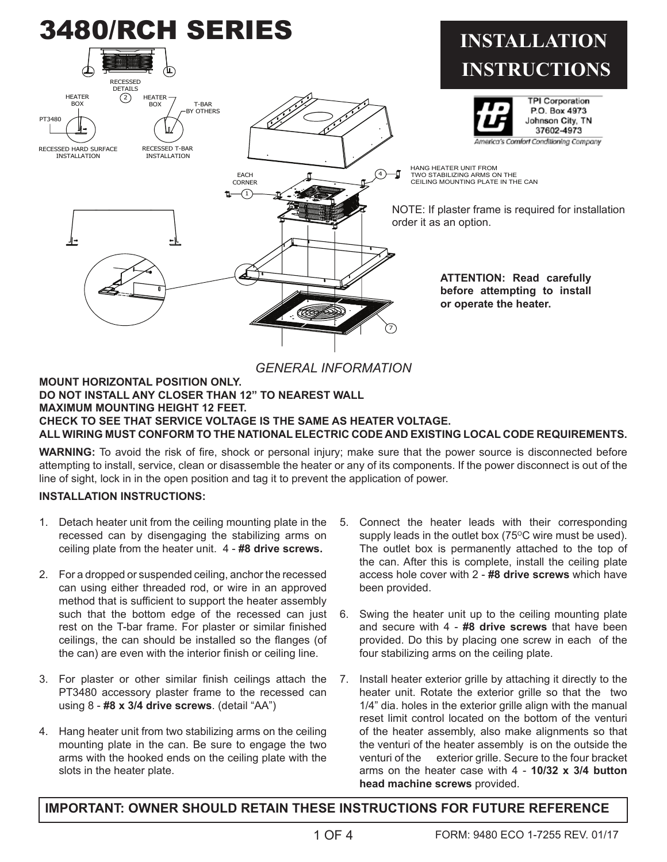

*GENERAL INFORMATION*

#### **MOUNT HORIZONTAL POSITION ONLY. DO NOT INSTALL ANY CLOSER THAN 12" TO NEAREST WALL MAXIMUM MOUNTING HEIGHT 12 FEET. CHECK TO SEE THAT SERVICE VOLTAGE IS THE SAME AS HEATER VOLTAGE. ALL WIRING MUST CONFORM TO THE NATIONAL ELECTRIC CODE AND EXISTING LOCAL CODE REQUIREMENTS.**

**WARNING:** To avoid the risk of fire, shock or personal injury; make sure that the power source is disconnected before attempting to install, service, clean or disassemble the heater or any of its components. If the power disconnect is out of the line of sight, lock in in the open position and tag it to prevent the application of power.

## **INSTALLATION INSTRUCTIONS:**

- 1. Detach heater unit from the ceiling mounting plate in the recessed can by disengaging the stabilizing arms on ceiling plate from the heater unit. 4 - **#8 drive screws.**
- 2. For a dropped or suspended ceiling, anchor the recessed can using either threaded rod, or wire in an approved method that is sufficient to support the heater assembly such that the bottom edge of the recessed can just rest on the T-bar frame. For plaster or similar finished ceilings, the can should be installed so the flanges (of the can) are even with the interior finish or ceiling line.
- 3. For plaster or other similar finish ceilings attach the PT3480 accessory plaster frame to the recessed can using 8 - **#8 x 3/4 drive screws**. (detail "AA")
- 4. Hang heater unit from two stabilizing arms on the ceiling mounting plate in the can. Be sure to engage the two arms with the hooked ends on the ceiling plate with the slots in the heater plate.
- 5. Connect the heater leads with their corresponding supply leads in the outlet box  $(75^{\circ}C)$  wire must be used). The outlet box is permanently attached to the top of the can. After this is complete, install the ceiling plate access hole cover with 2 - **#8 drive screws** which have been provided.
- 6. Swing the heater unit up to the ceiling mounting plate and secure with 4 - **#8 drive screws** that have been provided. Do this by placing one screw in each of the four stabilizing arms on the ceiling plate.
- 7. Install heater exterior grille by attaching it directly to the heater unit. Rotate the exterior grille so that the two 1/4" dia. holes in the exterior grille align with the manual reset limit control located on the bottom of the venturi of the heater assembly, also make alignments so that the venturi of the heater assembly is on the outside the venturi of the exterior grille. Secure to the four bracket arms on the heater case with 4 - **10/32 x 3/4 button head machine screws** provided.

# **IMPORTANT: OWNER SHOULD RETAIN THESE INSTRUCTIONS FOR FUTURE REFERENCE**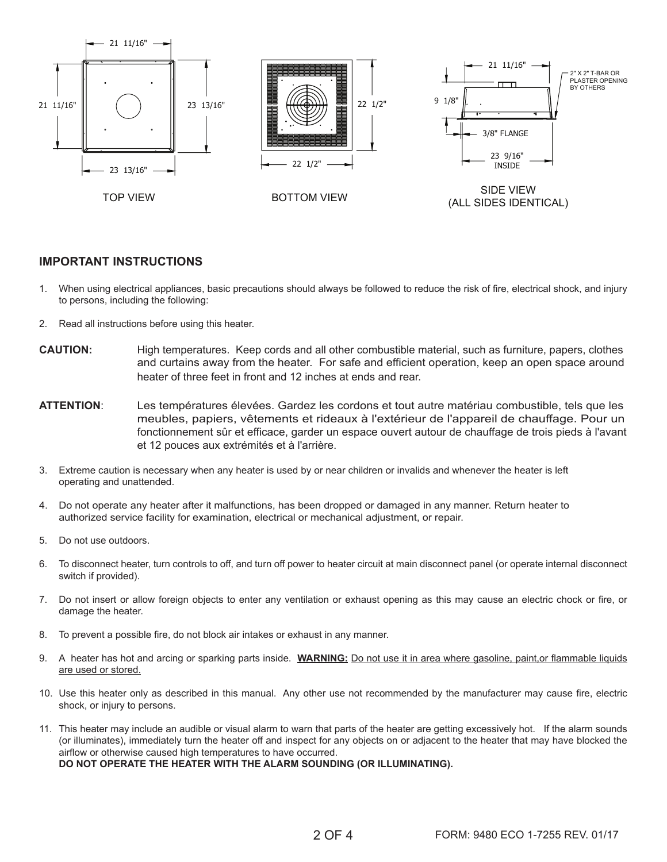

#### **IMPORTANT INSTRUCTIONS**

- 1. When using electrical appliances, basic precautions should always be followed to reduce the risk of fire, electrical shock, and injury to persons, including the following:
- 2. Read all instructions before using this heater.
- **CAUTION:** High temperatures. Keep cords and all other combustible material, such as furniture, papers, clothes and curtains away from the heater. For safe and efficient operation, keep an open space around heater of three feet in front and 12 inches at ends and rear.
- **ATTENTION**: Les températures élevées. Gardez les cordons et tout autre matériau combustible, tels que les meubles, papiers, vêtements et rideaux à l'extérieur de l'appareil de chauffage. Pour un fonctionnement sûr et efficace, garder un espace ouvert autour de chauffage de trois pieds à l'avant et 12 pouces aux extrémités et à l'arrière.
- 3. Extreme caution is necessary when any heater is used by or near children or invalids and whenever the heater is left operating and unattended.
- 4. Do not operate any heater after it malfunctions, has been dropped or damaged in any manner. Return heater to authorized service facility for examination, electrical or mechanical adjustment, or repair.
- 5. Do not use outdoors.
- 6. To disconnect heater, turn controls to off, and turn off power to heater circuit at main disconnect panel (or operate internal disconnect switch if provided).
- 7. Do not insert or allow foreign objects to enter any ventilation or exhaust opening as this may cause an electric chock or fire, or damage the heater.
- 8. To prevent a possible fire, do not block air intakes or exhaust in any manner.
- 9. A heater has hot and arcing or sparking parts inside. **WARNING:** Do not use it in area where gasoline, paint,or flammable liquids are used or stored.
- 10. Use this heater only as described in this manual. Any other use not recommended by the manufacturer may cause fire, electric shock, or injury to persons.
- 11. This heater may include an audible or visual alarm to warn that parts of the heater are getting excessively hot. If the alarm sounds (or illuminates), immediately turn the heater off and inspect for any objects on or adjacent to the heater that may have blocked the airflow or otherwise caused high temperatures to have occurred. **DO NOT OPERATE THE HEATER WITH THE ALARM SOUNDING (OR ILLUMINATING).**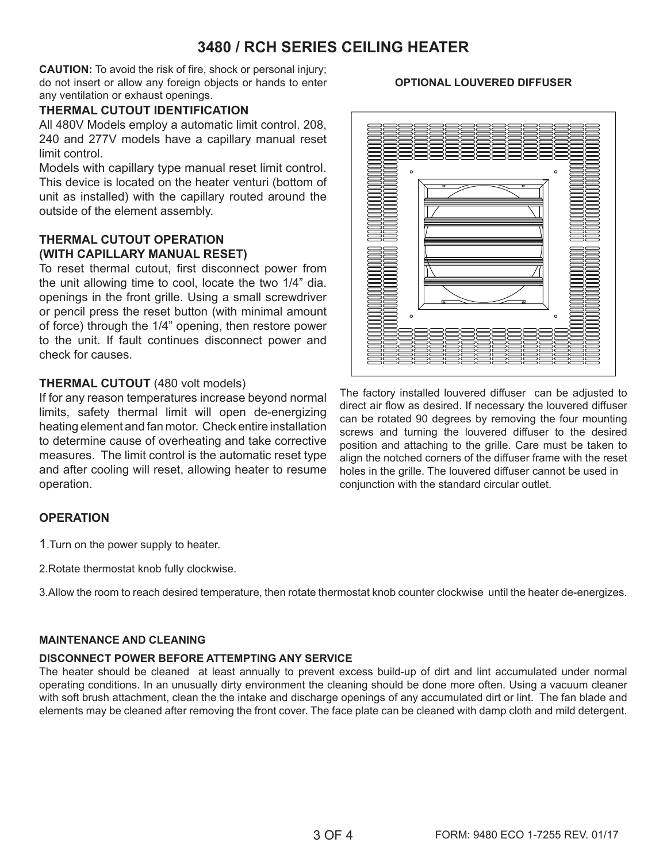# **3480 / RCH SERIES CEILING HEATER**

**CAUTION:** To avoid the risk of fire, shock or personal injury; do not insert or allow any foreign objects or hands to enter any ventilation or exhaust openings.

#### **THERMAL CUTOUT IDENTIFICATION**

All 480V Models employ a automatic limit control. 208, 240 and 277V models have a capillary manual reset limit control.

Models with capillary type manual reset limit control. This device is located on the heater venturi (bottom of unit as installed) with the capillary routed around the outside of the element assembly.

## **THERMAL CUTOUT OPERATION (WITH CAPILLARY MANUAL RESET)**

To reset thermal cutout, first disconnect power from the unit allowing time to cool, locate the two 1/4" dia. openings in the front grille. Using a small screwdriver or pencil press the reset button (with minimal amount of force) through the 1/4" opening, then restore power to the unit. If fault continues disconnect power and check for causes.

#### **THERMAL CUTOUT** (480 volt models)

If for any reason temperatures increase beyond normal limits, safety thermal limit will open de-energizing heating element and fan motor. Check entire installation to determine cause of overheating and take corrective measures. The limit control is the automatic reset type and after cooling will reset, allowing heater to resume operation.

## **OPERATION**

1.Turn on the power supply to heater.

2.Rotate thermostat knob fully clockwise.

3.Allow the room to reach desired temperature, then rotate thermostat knob counter clockwise until the heater de-energizes.

#### **MAINTENANCE AND CLEANING**

#### **DISCONNECT POWER BEFORE ATTEMPTING ANY SERVICE**

The heater should be cleaned at least annually to prevent excess build-up of dirt and lint accumulated under normal operating conditions. In an unusually dirty environment the cleaning should be done more often. Using a vacuum cleaner with soft brush attachment, clean the the intake and discharge openings of any accumulated dirt or lint. The fan blade and elements may be cleaned after removing the front cover. The face plate can be cleaned with damp cloth and mild detergent.



The factory installed louvered diffuser can be adjusted to direct air flow as desired. If necessary the louvered diffuser can be rotated 90 degrees by removing the four mounting screws and turning the louvered diffuser to the desired position and attaching to the grille. Care must be taken to align the notched corners of the diffuser frame with the reset holes in the grille. The louvered diffuser cannot be used in conjunction with the standard circular outlet.